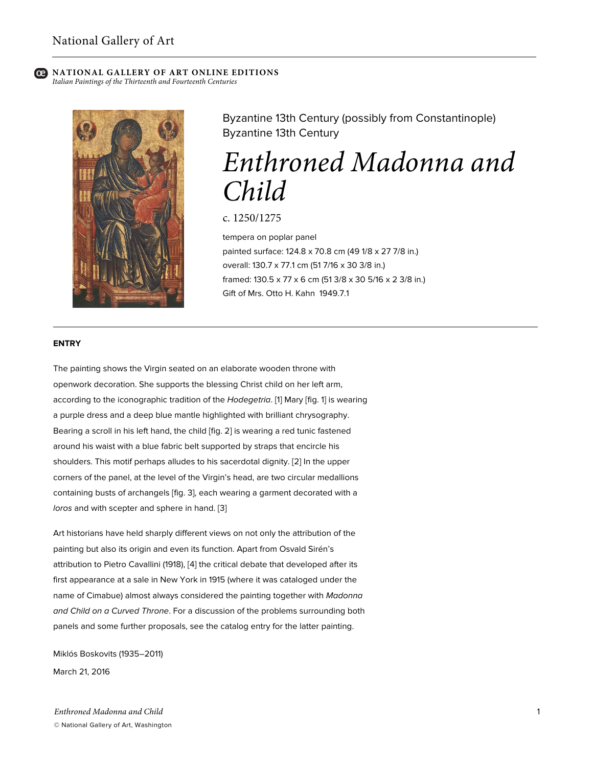*Italian Paintings of the Thirteenth and Fourteenth Centuries*



Byzantine 13th Century (possibly from Constantinople) Byzantine 13th Century

# *Enthroned Madonna and Child*

c. 1250/1275

tempera on poplar panel painted surface: 124.8 x 70.8 cm (49 1/8 x 27 7/8 in.) overall: 130.7 x 77.1 cm (51 7/16 x 30 3/8 in.) framed: 130.5 x 77 x 6 cm (51 3/8 x 30 5/16 x 2 3/8 in.) Gift of Mrs. Otto H. Kahn 1949.7.1

#### **ENTRY**

The painting shows the Virgin seated on an elaborate wooden throne with openwork decoration. She supports the blessing Christ child on her left arm, according to the iconographic tradition of the *Hodegetria*. [1] Mary [fig. 1] is wearing a purple dress and a deep blue mantle highlighted with brilliant chrysography. Bearing a scroll in his left hand, the child [fig. 2] is wearing a red tunic fastened around his waist with a blue fabric belt supported by straps that encircle his shoulders. This motif perhaps alludes to his sacerdotal dignity. [2] In the upper corners of the panel, at the level of the Virgin's head, are two circular medallions containing busts of archangels [fig. 3], each wearing a garment decorated with a *loros* and with scepter and sphere in hand. [3]

Art historians have held sharply different views on not only the attribution of the painting but also its origin and even its function. Apart from Osvald Sirén's attribution to Pietro Cavallini (1918), [4] the critical debate that developed after its first appearance at a sale in New York in 1915 (where it was cataloged under the name of Cimabue) almost always considered the painting together with *Madonna and Child on a Curved Throne*. For a discussion of the problems surrounding both panels and some further proposals, see the catalog entry for the latter painting.

Miklós Boskovits (1935–2011) March 21, 2016

*Enthroned Madonna and Child* © National Gallery of Art, Washington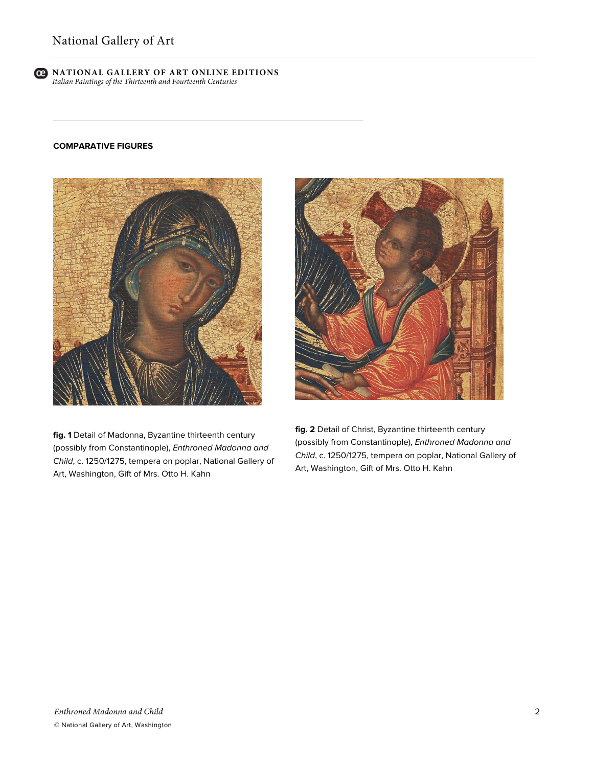

#### **COMPARATIVE FIGURES**



**fig. 1** Detail of Madonna, Byzantine thirteenth century (possibly from Constantinople), *Enthroned Madonna and Child*, c. 1250/1275, tempera on poplar, National Gallery of Art, Washington, Gift of Mrs. Otto H. Kahn

**fig. 2** Detail of Christ, Byzantine thirteenth century (possibly from Constantinople), *Enthroned Madonna and Child*, c. 1250/1275, tempera on poplar, National Gallery of Art, Washington, Gift of Mrs. Otto H. Kahn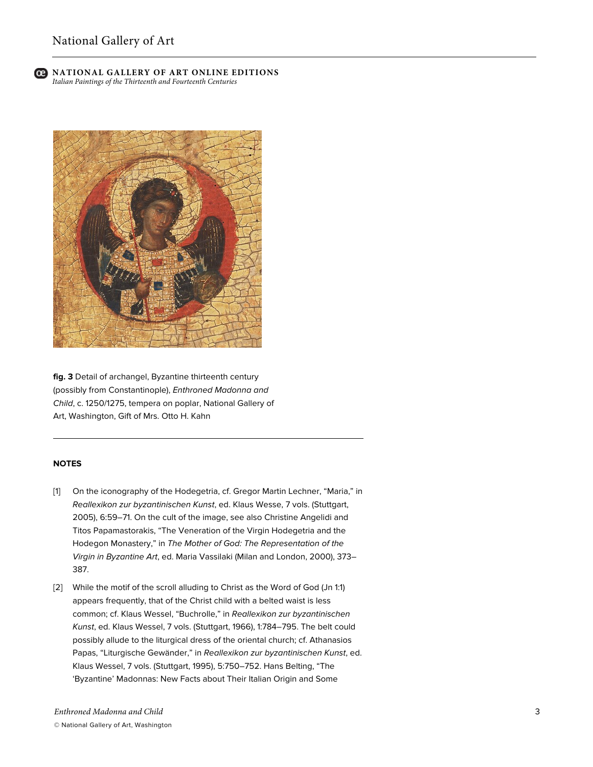#### **NATIONAL GALLERY OF ART ONLINE EDITIONS** *Italian Paintings of the Thirteenth and Fourteenth Centuries*



**fig. 3** Detail of archangel, Byzantine thirteenth century (possibly from Constantinople), *Enthroned Madonna and Child*, c. 1250/1275, tempera on poplar, National Gallery of Art, Washington, Gift of Mrs. Otto H. Kahn

### **NOTES**

- [1] On the iconography of the Hodegetria, cf. Gregor Martin Lechner, "Maria," in *Reallexikon zur byzantinischen Kunst*, ed. Klaus Wesse, 7 vols. (Stuttgart, 2005), 6:59–71. On the cult of the image, see also Christine Angelidi and Titos Papamastorakis, "The Veneration of the Virgin Hodegetria and the Hodegon Monastery," in *The Mother of God: The Representation of the Virgin in Byzantine Art*, ed. Maria Vassilaki (Milan and London, 2000), 373– 387.
- [2] While the motif of the scroll alluding to Christ as the Word of God (Jn 1:1) appears frequently, that of the Christ child with a belted waist is less common; cf. Klaus Wessel, "Buchrolle," in *Reallexikon zur byzantinischen Kunst*, ed. Klaus Wessel, 7 vols. (Stuttgart, 1966), 1:784–795. The belt could possibly allude to the liturgical dress of the oriental church; cf. Athanasios Papas, "Liturgische Gewänder," in *Reallexikon zur byzantinischen Kunst*, ed. Klaus Wessel, 7 vols. (Stuttgart, 1995), 5:750–752. Hans Belting, "The 'Byzantine' Madonnas: New Facts about Their Italian Origin and Some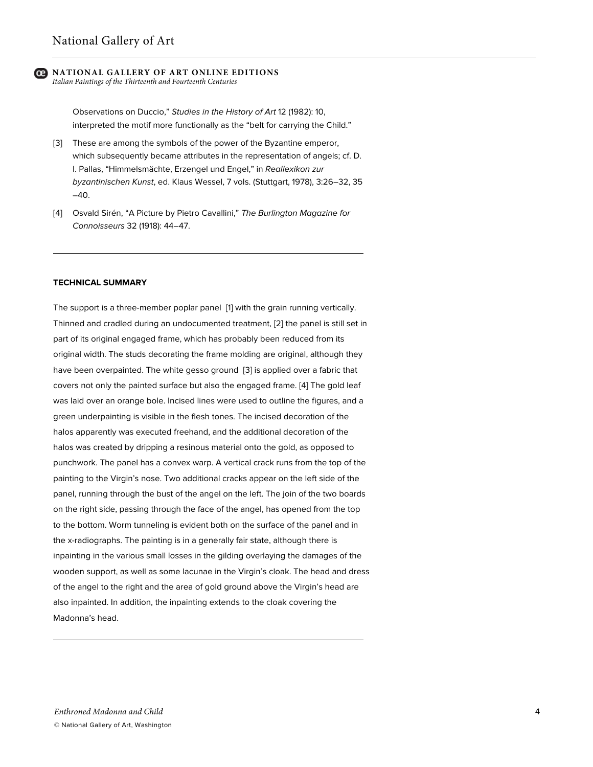*Italian Paintings of the Thirteenth and Fourteenth Centuries*

Observations on Duccio," *Studies in the History of Art* 12 (1982): 10, interpreted the motif more functionally as the "belt for carrying the Child."

- [3] These are among the symbols of the power of the Byzantine emperor, which subsequently became attributes in the representation of angels; cf. D. I. Pallas, "Himmelsmächte, Erzengel und Engel," in *Reallexikon zur byzantinischen Kunst*, ed. Klaus Wessel, 7 vols. (Stuttgart, 1978), 3:26–32, 35 –40.
- [4] Osvald Sirén, "A Picture by Pietro Cavallini," *The Burlington Magazine for Connoisseurs* 32 (1918): 44–47.

#### **TECHNICAL SUMMARY**

The support is a three-member poplar panel [1] with the grain running vertically. Thinned and cradled during an undocumented treatment, [2] the panel is still set in part of its original engaged frame, which has probably been reduced from its original width. The studs decorating the frame molding are original, although they have been overpainted. The white gesso ground [3] is applied over a fabric that covers not only the painted surface but also the engaged frame. [4] The gold leaf was laid over an orange bole. Incised lines were used to outline the figures, and a green underpainting is visible in the flesh tones. The incised decoration of the halos apparently was executed freehand, and the additional decoration of the halos was created by dripping a resinous material onto the gold, as opposed to punchwork. The panel has a convex warp. A vertical crack runs from the top of the painting to the Virgin's nose. Two additional cracks appear on the left side of the panel, running through the bust of the angel on the left. The join of the two boards on the right side, passing through the face of the angel, has opened from the top to the bottom. Worm tunneling is evident both on the surface of the panel and in the x-radiographs. The painting is in a generally fair state, although there is inpainting in the various small losses in the gilding overlaying the damages of the wooden support, as well as some lacunae in the Virgin's cloak. The head and dress of the angel to the right and the area of gold ground above the Virgin's head are also inpainted. In addition, the inpainting extends to the cloak covering the Madonna's head.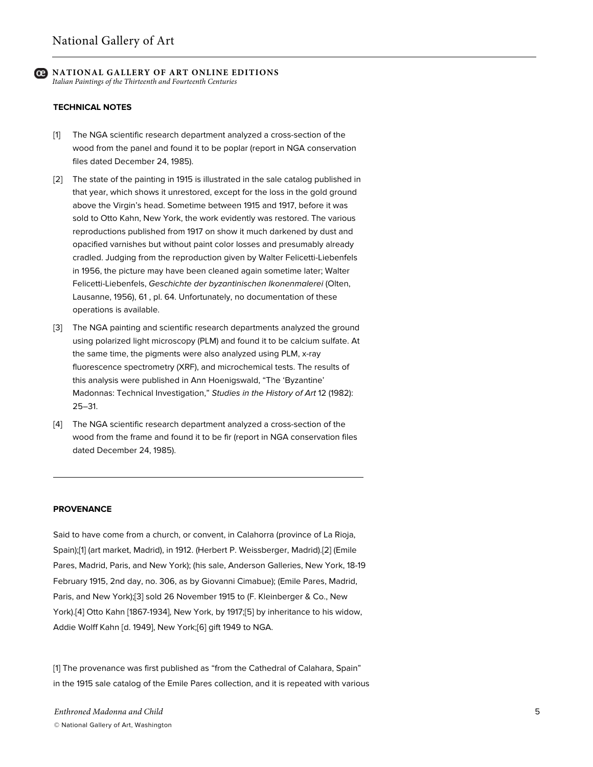**NATIONAL GALLERY OF ART ONLINE EDITIONS** *Italian Paintings of the Thirteenth and Fourteenth Centuries*

#### **TECHNICAL NOTES**

- [1] The NGA scientific research department analyzed a cross-section of the wood from the panel and found it to be poplar (report in NGA conservation files dated December 24, 1985).
- [2] The state of the painting in 1915 is illustrated in the sale catalog published in that year, which shows it unrestored, except for the loss in the gold ground above the Virgin's head. Sometime between 1915 and 1917, before it was sold to Otto Kahn, New York, the work evidently was restored. The various reproductions published from 1917 on show it much darkened by dust and opacified varnishes but without paint color losses and presumably already cradled. Judging from the reproduction given by Walter Felicetti-Liebenfels in 1956, the picture may have been cleaned again sometime later; Walter Felicetti-Liebenfels, *Geschichte der byzantinischen Ikonenmalerei* (Olten, Lausanne, 1956), 61 , pl. 64. Unfortunately, no documentation of these operations is available.
- [3] The NGA painting and scientific research departments analyzed the ground using polarized light microscopy (PLM) and found it to be calcium sulfate. At the same time, the pigments were also analyzed using PLM, x-ray fluorescence spectrometry (XRF), and microchemical tests. The results of this analysis were published in Ann Hoenigswald, "The 'Byzantine' Madonnas: Technical Investigation," *Studies in the History of Art* 12 (1982): 25–31.
- [4] The NGA scientific research department analyzed a cross-section of the wood from the frame and found it to be fir (report in NGA conservation files dated December 24, 1985).

#### **PROVENANCE**

Said to have come from a church, or convent, in Calahorra (province of La Rioja, Spain);[1] (art market, Madrid), in 1912. (Herbert P. Weissberger, Madrid).[2] (Emile Pares, Madrid, Paris, and New York); (his sale, Anderson Galleries, New York, 18-19 February 1915, 2nd day, no. 306, as by Giovanni Cimabue); (Emile Pares, Madrid, Paris, and New York);[3] sold 26 November 1915 to (F. Kleinberger & Co., New York).[4] Otto Kahn [1867-1934], New York, by 1917;[5] by inheritance to his widow, Addie Wolff Kahn [d. 1949], New York;[6] gift 1949 to NGA.

[1] The provenance was first published as "from the Cathedral of Calahara, Spain" in the 1915 sale catalog of the Emile Pares collection, and it is repeated with various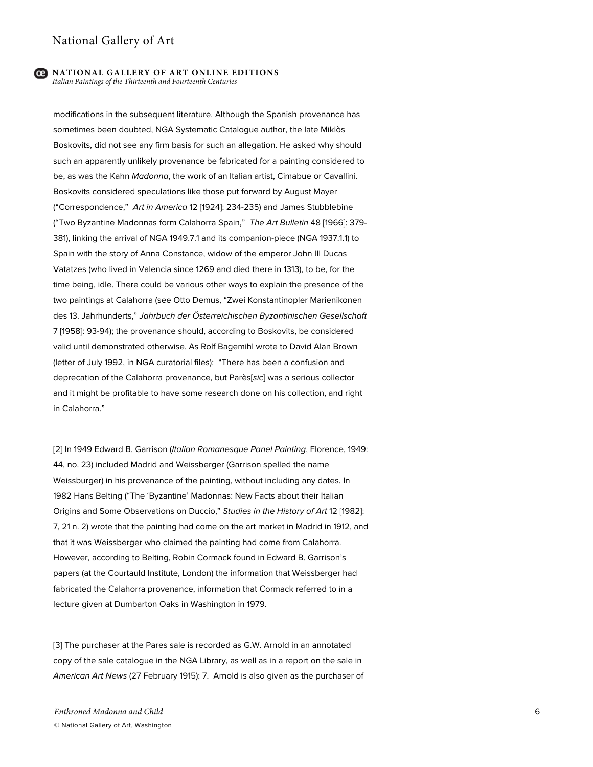#### **NATIONAL GALLERY OF ART ONLINE EDITIONS** *Italian Paintings of the Thirteenth and Fourteenth Centuries*

modifications in the subsequent literature. Although the Spanish provenance has sometimes been doubted, NGA Systematic Catalogue author, the late Miklòs Boskovits, did not see any firm basis for such an allegation. He asked why should such an apparently unlikely provenance be fabricated for a painting considered to be, as was the Kahn *Madonna*, the work of an Italian artist, Cimabue or Cavallini. Boskovits considered speculations like those put forward by August Mayer ("Correspondence," *Art in America* 12 [1924]: 234-235) and James Stubblebine ("Two Byzantine Madonnas form Calahorra Spain," *The Art Bulletin* 48 [1966]: 379- 381), linking the arrival of NGA 1949.7.1 and its companion-piece (NGA 1937.1.1) to Spain with the story of Anna Constance, widow of the emperor John III Ducas Vatatzes (who lived in Valencia since 1269 and died there in 1313), to be, for the time being, idle. There could be various other ways to explain the presence of the two paintings at Calahorra (see Otto Demus, "Zwei Konstantinopler Marienikonen des 13. Jahrhunderts," *Jahrbuch der Österreichischen Byzantinischen Gesellschaft* 7 [1958]: 93-94); the provenance should, according to Boskovits, be considered valid until demonstrated otherwise. As Rolf Bagemihl wrote to David Alan Brown (letter of July 1992, in NGA curatorial files): "There has been a confusion and deprecation of the Calahorra provenance, but Parès[*sic*] was a serious collector and it might be profitable to have some research done on his collection, and right in Calahorra."

[2] In 1949 Edward B. Garrison (*Italian Romanesque Panel Painting*, Florence, 1949: 44, no. 23) included Madrid and Weissberger (Garrison spelled the name Weissburger) in his provenance of the painting, without including any dates. In 1982 Hans Belting ("The 'Byzantine' Madonnas: New Facts about their Italian Origins and Some Observations on Duccio," *Studies in the History of Art* 12 [1982]: 7, 21 n. 2) wrote that the painting had come on the art market in Madrid in 1912, and that it was Weissberger who claimed the painting had come from Calahorra. However, according to Belting, Robin Cormack found in Edward B. Garrison's papers (at the Courtauld Institute, London) the information that Weissberger had fabricated the Calahorra provenance, information that Cormack referred to in a lecture given at Dumbarton Oaks in Washington in 1979.

[3] The purchaser at the Pares sale is recorded as G.W. Arnold in an annotated copy of the sale catalogue in the NGA Library, as well as in a report on the sale in *American Art News* (27 February 1915): 7. Arnold is also given as the purchaser of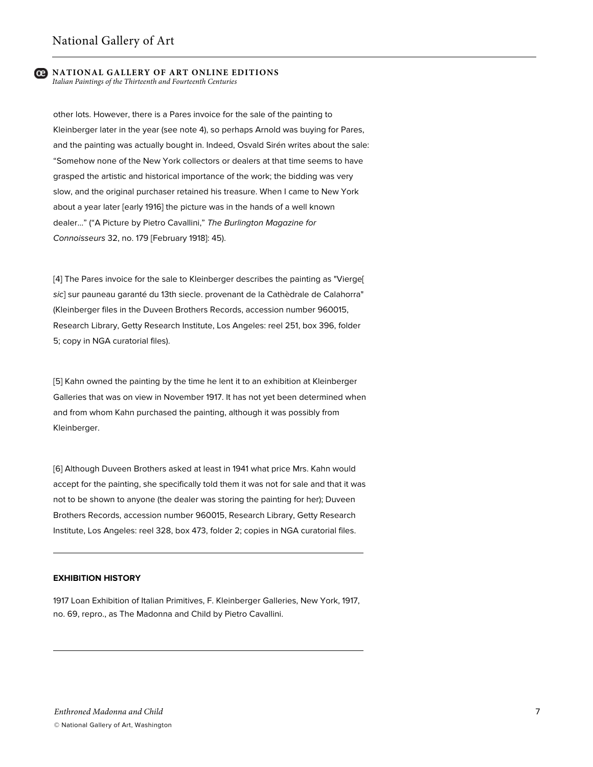*Italian Paintings of the Thirteenth and Fourteenth Centuries*

other lots. However, there is a Pares invoice for the sale of the painting to Kleinberger later in the year (see note 4), so perhaps Arnold was buying for Pares, and the painting was actually bought in. Indeed, Osvald Sirén writes about the sale: "Somehow none of the New York collectors or dealers at that time seems to have grasped the artistic and historical importance of the work; the bidding was very slow, and the original purchaser retained his treasure. When I came to New York about a year later [early 1916] the picture was in the hands of a well known dealer…" ("A Picture by Pietro Cavallini," *The Burlington Magazine for Connoisseurs* 32, no. 179 [February 1918]: 45).

[4] The Pares invoice for the sale to Kleinberger describes the painting as "Vierge[ *sic*] sur pauneau garanté du 13th siecle. provenant de la Cathèdrale de Calahorra" (Kleinberger files in the Duveen Brothers Records, accession number 960015, Research Library, Getty Research Institute, Los Angeles: reel 251, box 396, folder 5; copy in NGA curatorial files).

[5] Kahn owned the painting by the time he lent it to an exhibition at Kleinberger Galleries that was on view in November 1917. It has not yet been determined when and from whom Kahn purchased the painting, although it was possibly from Kleinberger.

[6] Although Duveen Brothers asked at least in 1941 what price Mrs. Kahn would accept for the painting, she specifically told them it was not for sale and that it was not to be shown to anyone (the dealer was storing the painting for her); Duveen Brothers Records, accession number 960015, Research Library, Getty Research Institute, Los Angeles: reel 328, box 473, folder 2; copies in NGA curatorial files.

#### **EXHIBITION HISTORY**

1917 Loan Exhibition of Italian Primitives, F. Kleinberger Galleries, New York, 1917, no. 69, repro., as The Madonna and Child by Pietro Cavallini.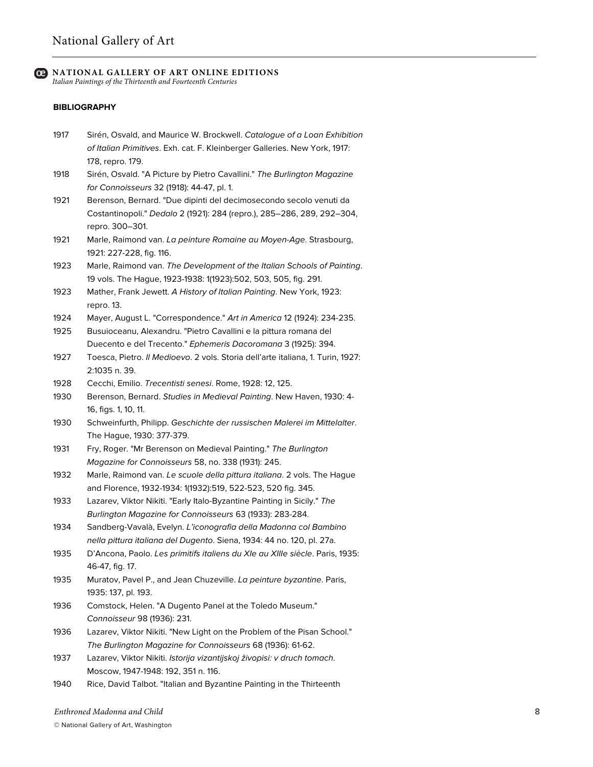*Italian Paintings of the Thirteenth and Fourteenth Centuries*

#### **BIBLIOGRAPHY**

- 1917 Sirén, Osvald, and Maurice W. Brockwell. *Catalogue of a Loan Exhibition of Italian Primitives*. Exh. cat. F. Kleinberger Galleries. New York, 1917: 178, repro. 179.
- 1918 Sirén, Osvald. "A Picture by Pietro Cavallini." *The Burlington Magazine for Connoisseurs* 32 (1918): 44-47, pl. 1.
- 1921 Berenson, Bernard. "Due dipinti del decimosecondo secolo venuti da Costantinopoli." *Dedalo* 2 (1921): 284 (repro.), 285–286, 289, 292–304, repro. 300–301.
- 1921 Marle, Raimond van. *La peinture Romaine au Moyen-Age*. Strasbourg, 1921: 227-228, fig. 116.
- 1923 Marle, Raimond van. *The Development of the Italian Schools of Painting*. 19 vols. The Hague, 1923-1938: 1(1923):502, 503, 505, fig. 291.
- 1923 Mather, Frank Jewett. *A History of Italian Painting*. New York, 1923: repro. 13.
- 1924 Mayer, August L. "Correspondence." *Art in America* 12 (1924): 234-235.
- 1925 Busuioceanu, Alexandru. "Pietro Cavallini e la pittura romana del Duecento e del Trecento." *Ephemeris Dacoromana* 3 (1925): 394.
- 1927 Toesca, Pietro. *Il Medioevo*. 2 vols. Storia dell'arte italiana, 1. Turin, 1927: 2:1035 n. 39.
- 1928 Cecchi, Emilio. *Trecentisti senesi*. Rome, 1928: 12, 125.
- 1930 Berenson, Bernard. *Studies in Medieval Painting*. New Haven, 1930: 4- 16, figs. 1, 10, 11.
- 1930 Schweinfurth, Philipp. *Geschichte der russischen Malerei im Mittelalter*. The Hague, 1930: 377-379.
- 1931 Fry, Roger. "Mr Berenson on Medieval Painting." *The Burlington Magazine for Connoisseurs* 58, no. 338 (1931): 245.
- 1932 Marle, Raimond van. *Le scuole della pittura italiana*. 2 vols. The Hague and Florence, 1932-1934: 1(1932):519, 522-523, 520 fig. 345.
- 1933 Lazarev, Viktor Nikiti. "Early Italo-Byzantine Painting in Sicily." *The Burlington Magazine for Connoisseurs* 63 (1933): 283-284.
- 1934 Sandberg-Vavalà, Evelyn. *L'iconografia della Madonna col Bambino nella pittura italiana del Dugento*. Siena, 1934: 44 no. 120, pl. 27a.
- 1935 D'Ancona, Paolo. *Les primitifs italiens du XIe au XIIIe siècle*. Paris, 1935: 46-47, fig. 17.
- 1935 Muratov, Pavel P., and Jean Chuzeville. *La peinture byzantine*. Paris, 1935: 137, pl. 193.
- 1936 Comstock, Helen. "A Dugento Panel at the Toledo Museum." *Connoisseur* 98 (1936): 231.
- 1936 Lazarev, Viktor Nikiti. "New Light on the Problem of the Pisan School." *The Burlington Magazine for Connoisseurs* 68 (1936): 61-62.
- 1937 Lazarev, Viktor Nikiti. *Istorija vizantijskoj živopisi: v druch tomach*. Moscow, 1947-1948: 192, 351 n. 116.
- 1940 Rice, David Talbot. "Italian and Byzantine Painting in the Thirteenth

*Enthroned Madonna and Child*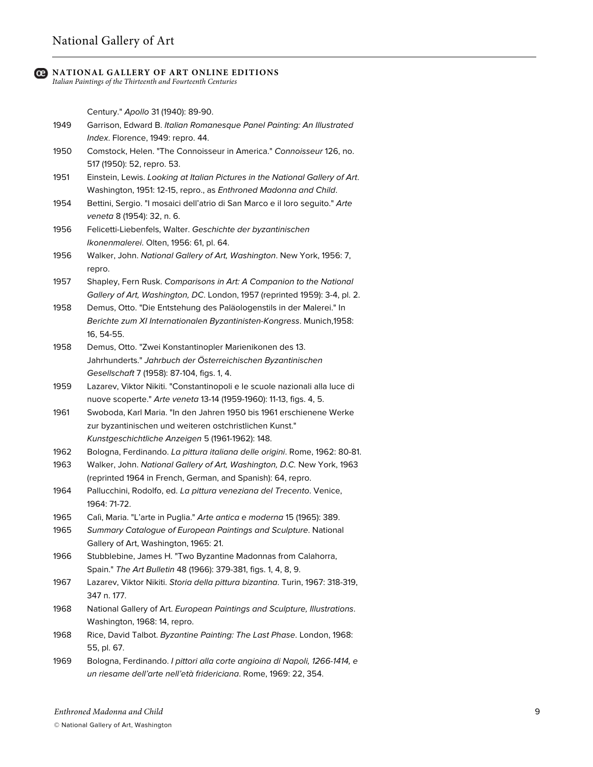# National Gallery of Art

#### **NATIONAL GALLERY OF ART ONLINE EDITIONS**

*Italian Paintings of the Thirteenth and Fourteenth Centuries*

Century." *Apollo* 31 (1940): 89-90.

| 1949 | Garrison, Edward B. Italian Romanesque Panel Painting: An Illustrated |
|------|-----------------------------------------------------------------------|
|      | <i>Index</i> . Florence, 1949: repro. 44.                             |

- 1950 Comstock, Helen. "The Connoisseur in America." *Connoisseur* 126, no. 517 (1950): 52, repro. 53.
- 1951 Einstein, Lewis. *Looking at Italian Pictures in the National Gallery of Art*. Washington, 1951: 12-15, repro., as *Enthroned Madonna and Child*.
- 1954 Bettini, Sergio. "I mosaici dell'atrio di San Marco e il loro seguito." *Arte veneta* 8 (1954): 32, n. 6.
- 1956 Felicetti-Liebenfels, Walter. *Geschichte der byzantinischen Ikonenmalerei*. Olten, 1956: 61, pl. 64.
- 1956 Walker, John. *National Gallery of Art, Washington*. New York, 1956: 7, repro.

1957 Shapley, Fern Rusk. *Comparisons in Art: A Companion to the National Gallery of Art, Washington, DC*. London, 1957 (reprinted 1959): 3-4, pl. 2.

- 1958 Demus, Otto. "Die Entstehung des Paläologenstils in der Malerei." In *Berichte zum XI Internationalen Byzantinisten-Kongress*. Munich,1958: 16, 54-55.
- 1958 Demus, Otto. "Zwei Konstantinopler Marienikonen des 13. Jahrhunderts." *Jahrbuch der Österreichischen Byzantinischen Gesellschaft* 7 (1958): 87-104, figs. 1, 4.
- 1959 Lazarev, Viktor Nikiti. "Constantinopoli e le scuole nazionali alla luce di nuove scoperte." *Arte veneta* 13-14 (1959-1960): 11-13, figs. 4, 5.
- 1961 Swoboda, Karl Maria. "In den Jahren 1950 bis 1961 erschienene Werke zur byzantinischen und weiteren ostchristlichen Kunst." *Kunstgeschichtliche Anzeigen* 5 (1961-1962): 148.
- 1962 Bologna, Ferdinando. *La pittura italiana delle origini*. Rome, 1962: 80-81.
- 1963 Walker, John. *National Gallery of Art, Washington, D.C.* New York, 1963 (reprinted 1964 in French, German, and Spanish): 64, repro.
- 1964 Pallucchini, Rodolfo, ed. *La pittura veneziana del Trecento*. Venice, 1964: 71-72.
- 1965 Calì, Maria. "L'arte in Puglia." *Arte antica e moderna* 15 (1965): 389.
- 1965 *Summary Catalogue of European Paintings and Sculpture*. National Gallery of Art, Washington, 1965: 21.
- 1966 Stubblebine, James H. "Two Byzantine Madonnas from Calahorra, Spain." *The Art Bulletin* 48 (1966): 379-381, figs. 1, 4, 8, 9.
- 1967 Lazarev, Viktor Nikiti. *Storia della pittura bizantina*. Turin, 1967: 318-319, 347 n. 177.
- 1968 National Gallery of Art. *European Paintings and Sculpture, Illustrations*. Washington, 1968: 14, repro.
- 1968 Rice, David Talbot. *Byzantine Painting: The Last Phase*. London, 1968: 55, pl. 67.
- 1969 Bologna, Ferdinando. *I pittori alla corte angioina di Napoli, 1266-1414, e un riesame dell'arte nell'età fridericiana*. Rome, 1969: 22, 354.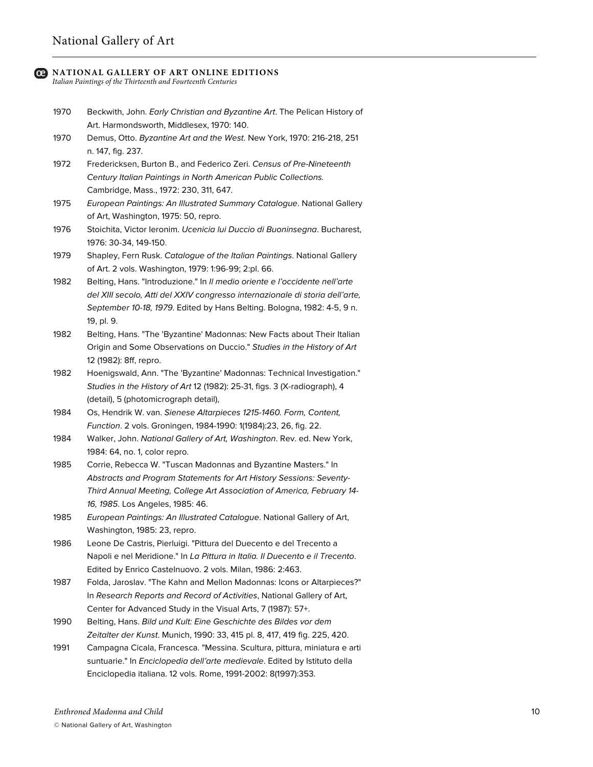# National Gallery of Art

#### **NATIONAL GALLERY OF ART ONLINE EDITIONS**

*Italian Paintings of the Thirteenth and Fourteenth Centuries*

- 1970 Beckwith, John. *Early Christian and Byzantine Art*. The Pelican History of Art. Harmondsworth, Middlesex, 1970: 140.
- 1970 Demus, Otto. *Byzantine Art and the West*. New York, 1970: 216-218, 251 n. 147, fig. 237.
- 1972 Fredericksen, Burton B., and Federico Zeri. *Census of Pre-Nineteenth Century Italian Paintings in North American Public Collections.* Cambridge, Mass., 1972: 230, 311, 647.
- 1975 *European Paintings: An Illustrated Summary Catalogue*. National Gallery of Art, Washington, 1975: 50, repro.
- 1976 Stoichita, Victor Ieronim. *Ucenicia lui Duccio di Buoninsegna*. Bucharest, 1976: 30-34, 149-150.
- 1979 Shapley, Fern Rusk. *Catalogue of the Italian Paintings*. National Gallery of Art. 2 vols. Washington, 1979: 1:96-99; 2:pl. 66.
- 1982 Belting, Hans. "Introduzione." In *Il medio oriente e l'occidente nell'arte del XIII secolo, Atti del XXIV congresso internazionale di storia dell'arte, September 10-18, 1979*. Edited by Hans Belting. Bologna, 1982: 4-5, 9 n. 19, pl. 9.
- 1982 Belting, Hans. "The 'Byzantine' Madonnas: New Facts about Their Italian Origin and Some Observations on Duccio." *Studies in the History of Art* 12 (1982): 8ff, repro.
- 1982 Hoenigswald, Ann. "The 'Byzantine' Madonnas: Technical Investigation." *Studies in the History of Art* 12 (1982): 25-31, figs. 3 (X-radiograph), 4 (detail), 5 (photomicrograph detail),
- 1984 Os, Hendrik W. van. *Sienese Altarpieces 1215-1460. Form, Content, Function*. 2 vols. Groningen, 1984-1990: 1(1984):23, 26, fig. 22.
- 1984 Walker, John. *National Gallery of Art, Washington*. Rev. ed. New York, 1984: 64, no. 1, color repro.
- 1985 Corrie, Rebecca W. "Tuscan Madonnas and Byzantine Masters." In *Abstracts and Program Statements for Art History Sessions: Seventy-Third Annual Meeting, College Art Association of America, February 14- 16, 1985*. Los Angeles, 1985: 46.
- 1985 *European Paintings: An Illustrated Catalogue*. National Gallery of Art, Washington, 1985: 23, repro.
- 1986 Leone De Castris, Pierluigi. "Pittura del Duecento e del Trecento a Napoli e nel Meridione." In *La Pittura in Italia. Il Duecento e il Trecento*. Edited by Enrico Castelnuovo. 2 vols. Milan, 1986: 2:463.
- 1987 Folda, Jaroslav. "The Kahn and Mellon Madonnas: Icons or Altarpieces?" In *Research Reports and Record of Activities*, National Gallery of Art, Center for Advanced Study in the Visual Arts, 7 (1987): 57+.
- 1990 Belting, Hans. *Bild und Kult: Eine Geschichte des Bildes vor dem Zeitalter der Kunst*. Munich, 1990: 33, 415 pl. 8, 417, 419 fig. 225, 420.
- 1991 Campagna Cicala, Francesca. "Messina. Scultura, pittura, miniatura e arti suntuarie." In *Enciclopedia dell'arte medievale*. Edited by Istituto della Enciclopedia italiana. 12 vols. Rome, 1991-2002: 8(1997):353.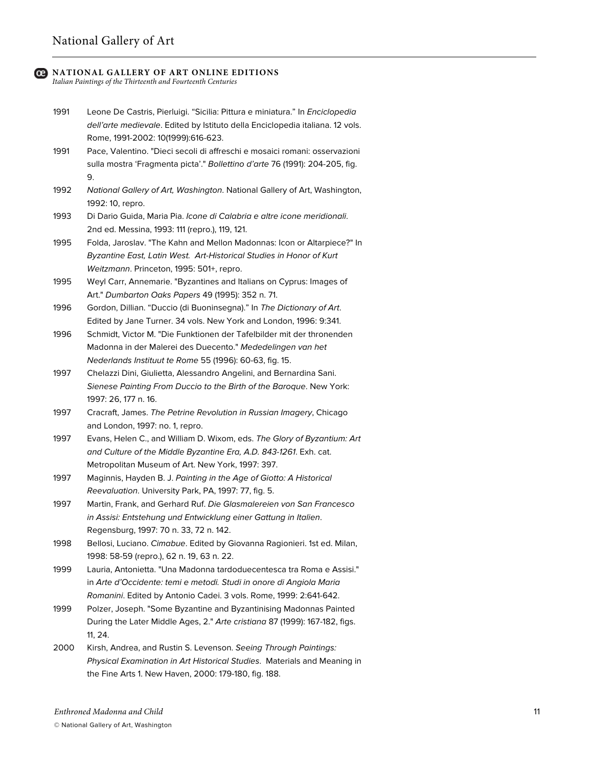*Italian Paintings of the Thirteenth and Fourteenth Centuries*

- 1991 Leone De Castris, Pierluigi. "Sicilia: Pittura e miniatura." In *Enciclopedia dell'arte medievale*. Edited by Istituto della Enciclopedia italiana. 12 vols. Rome, 1991-2002: 10(1999):616-623.
- 1991 Pace, Valentino. "Dieci secoli di affreschi e mosaici romani: osservazioni sulla mostra 'Fragmenta picta'." *Bollettino d'arte* 76 (1991): 204-205, fig. 9.
- 1992 *National Gallery of Art, Washington*. National Gallery of Art, Washington, 1992: 10, repro.
- 1993 Di Dario Guida, Maria Pia. *Icone di Calabria e altre icone meridionali*. 2nd ed. Messina, 1993: 111 (repro.), 119, 121.
- 1995 Folda, Jaroslav. "The Kahn and Mellon Madonnas: Icon or Altarpiece?" In *Byzantine East, Latin West. Art-Historical Studies in Honor of Kurt Weitzmann*. Princeton, 1995: 501+, repro.
- 1995 Weyl Carr, Annemarie. "Byzantines and Italians on Cyprus: Images of Art." *Dumbarton Oaks Papers* 49 (1995): 352 n. 71.
- 1996 Gordon, Dillian. "Duccio (di Buoninsegna)." In *The Dictionary of Art*. Edited by Jane Turner. 34 vols. New York and London, 1996: 9:341.
- 1996 Schmidt, Victor M. "Die Funktionen der Tafelbilder mit der thronenden Madonna in der Malerei des Duecento." *Mededelingen van het Nederlands Instituut te Rome* 55 (1996): 60-63, fig. 15.
- 1997 Chelazzi Dini, Giulietta, Alessandro Angelini, and Bernardina Sani. *Sienese Painting From Duccio to the Birth of the Baroque*. New York: 1997: 26, 177 n. 16.
- 1997 Cracraft, James. *The Petrine Revolution in Russian Imagery*, Chicago and London, 1997: no. 1, repro.
- 1997 Evans, Helen C., and William D. Wixom, eds. *The Glory of Byzantium: Art and Culture of the Middle Byzantine Era, A.D. 843-1261*. Exh. cat. Metropolitan Museum of Art. New York, 1997: 397.
- 1997 Maginnis, Hayden B. J. *Painting in the Age of Giotto: A Historical Reevaluation*. University Park, PA, 1997: 77, fig. 5.
- 1997 Martin, Frank, and Gerhard Ruf. *Die Glasmalereien von San Francesco in Assisi: Entstehung und Entwicklung einer Gattung in Italien*. Regensburg, 1997: 70 n. 33, 72 n. 142.
- 1998 Bellosi, Luciano. *Cimabue*. Edited by Giovanna Ragionieri. 1st ed. Milan, 1998: 58-59 (repro.), 62 n. 19, 63 n. 22.
- 1999 Lauria, Antonietta. "Una Madonna tardoduecentesca tra Roma e Assisi." in *Arte d'Occidente: temi e metodi. Studi in onore di Angiola Maria Romanini*. Edited by Antonio Cadei. 3 vols. Rome, 1999: 2:641-642.
- 1999 Polzer, Joseph. "Some Byzantine and Byzantinising Madonnas Painted During the Later Middle Ages, 2." *Arte cristiana* 87 (1999): 167-182, figs. 11, 24.
- 2000 Kirsh, Andrea, and Rustin S. Levenson. *Seeing Through Paintings: Physical Examination in Art Historical Studies*. Materials and Meaning in the Fine Arts 1. New Haven, 2000: 179-180, fig. 188.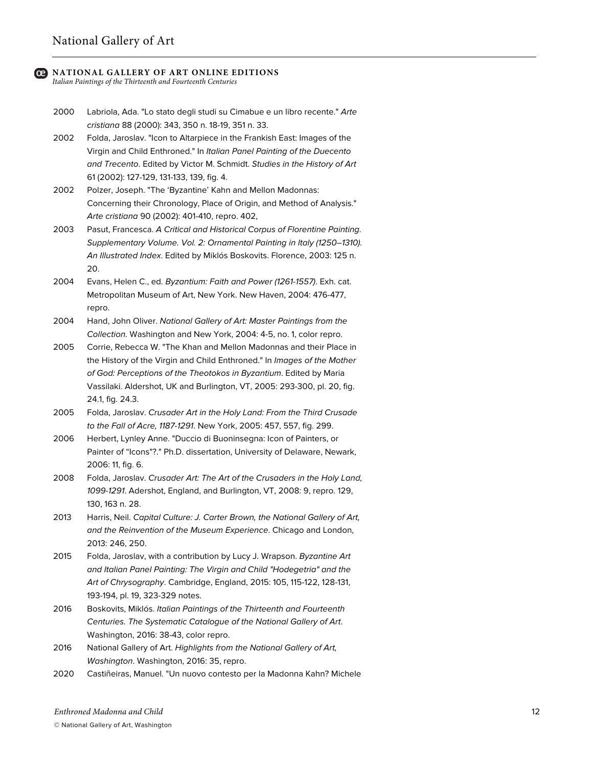*Italian Paintings of the Thirteenth and Fourteenth Centuries*

- 2000 Labriola, Ada. "Lo stato degli studi su Cimabue e un libro recente." *Arte cristiana* 88 (2000): 343, 350 n. 18-19, 351 n. 33.
- 2002 Folda, Jaroslav. "Icon to Altarpiece in the Frankish East: Images of the Virgin and Child Enthroned." In *Italian Panel Painting of the Duecento and Trecento*. Edited by Victor M. Schmidt. *Studies in the History of Art* 61 (2002): 127-129, 131-133, 139, fig. 4.
- 2002 Polzer, Joseph. "The 'Byzantine' Kahn and Mellon Madonnas: Concerning their Chronology, Place of Origin, and Method of Analysis." *Arte cristiana* 90 (2002): 401-410, repro. 402,
- 2003 Pasut, Francesca. *A Critical and Historical Corpus of Florentine Painting. Supplementary Volume. Vol. 2: Ornamental Painting in Italy (1250–1310). An Illustrated Index*. Edited by Miklós Boskovits. Florence, 2003: 125 n. 20.
- 2004 Evans, Helen C., ed. *Byzantium: Faith and Power (1261-1557)*. Exh. cat. Metropolitan Museum of Art, New York. New Haven, 2004: 476-477, repro.
- 2004 Hand, John Oliver. *National Gallery of Art: Master Paintings from the Collection*. Washington and New York, 2004: 4-5, no. 1, color repro.
- 2005 Corrie, Rebecca W. "The Khan and Mellon Madonnas and their Place in the History of the Virgin and Child Enthroned." In *Images of the Mother of God: Perceptions of the Theotokos in Byzantium*. Edited by Maria Vassilaki. Aldershot, UK and Burlington, VT, 2005: 293-300, pl. 20, fig. 24.1, fig. 24.3.
- 2005 Folda, Jaroslav. *Crusader Art in the Holy Land: From the Third Crusade to the Fall of Acre, 1187-1291*. New York, 2005: 457, 557, fig. 299.
- 2006 Herbert, Lynley Anne. "Duccio di Buoninsegna: Icon of Painters, or Painter of "Icons"?." Ph.D. dissertation, University of Delaware, Newark, 2006: 11, fig. 6.
- 2008 Folda, Jaroslav. *Crusader Art: The Art of the Crusaders in the Holy Land, 1099-1291*. Adershot, England, and Burlington, VT, 2008: 9, repro. 129, 130, 163 n. 28.
- 2013 Harris, Neil. *Capital Culture: J. Carter Brown, the National Gallery of Art, and the Reinvention of the Museum Experience*. Chicago and London, 2013: 246, 250.
- 2015 Folda, Jaroslav, with a contribution by Lucy J. Wrapson. *Byzantine Art and Italian Panel Painting: The Virgin and Child "Hodegetria" and the Art of Chrysography*. Cambridge, England, 2015: 105, 115-122, 128-131, 193-194, pl. 19, 323-329 notes.
- 2016 Boskovits, Miklós. *Italian Paintings of the Thirteenth and Fourteenth Centuries. The Systematic Catalogue of the National Gallery of Art*. Washington, 2016: 38-43, color repro.
- 2016 National Gallery of Art. *Highlights from the National Gallery of Art, Washington*. Washington, 2016: 35, repro.
- 2020 Castiñeiras, Manuel. "Un nuovo contesto per la Madonna Kahn? Michele